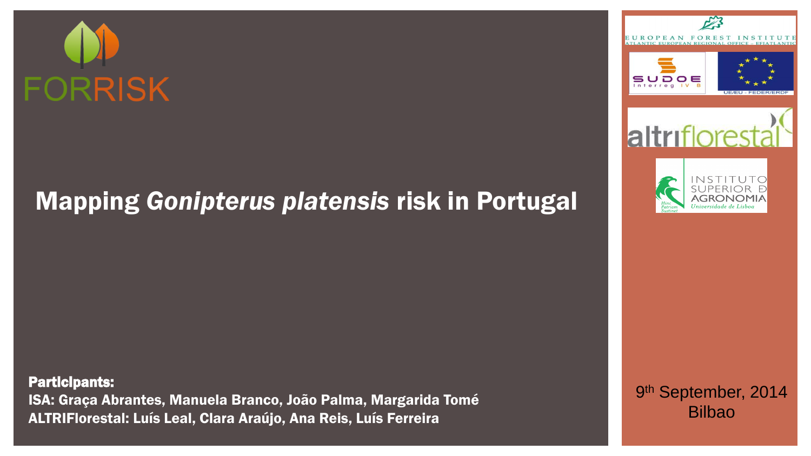# **FORRISK**

## Mapping *Gonipterus platensis* risk in Portugal

Participants: ISA: Graça Abrantes, Manuela Branco, João Palma, Margarida Tomé ALTRIFlorestal: Luís Leal, Clara Araújo, Ana Reis, Luís Ferreira



9<sup>th</sup> September, 2014 Bilbao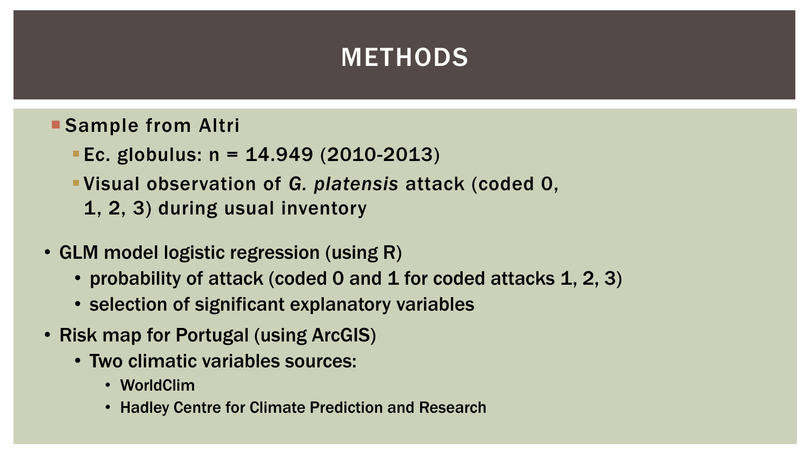## METHODS

- Sample from Altri
	- Ec. globulus:  $n = 14.949$  (2010-2013)
	- Visual observation of *G. platensis* attack (coded 0,
		- 1, 2, 3) during usual inventory
- GLM model logistic regression (using R)
	- probability of attack (coded 0 and 1 for coded attacks 1, 2, 3)
	- selection of significant explanatory variables
- Risk map for Portugal (using ArcGIS)
	- Two climatic variables sources:
		- WorldClim
		- Hadley Centre for Climate Prediction and Research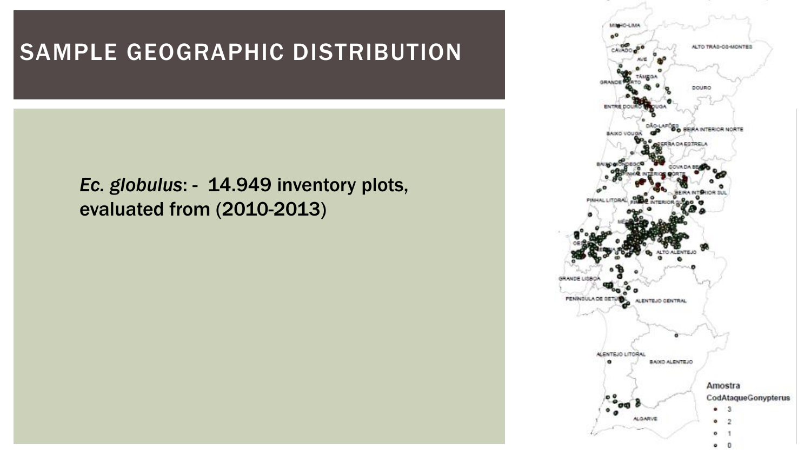## SAMPLE GEOGRAPHIC DISTRIBUTION

### *Ec. globulus*: - 14.949 inventory plots, evaluated from (2010-2013)

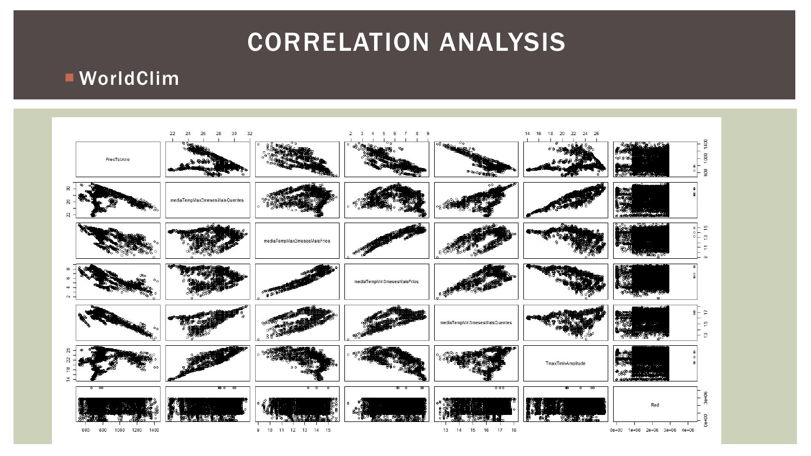## CORRELATION ANALYSIS

#### WorldClim

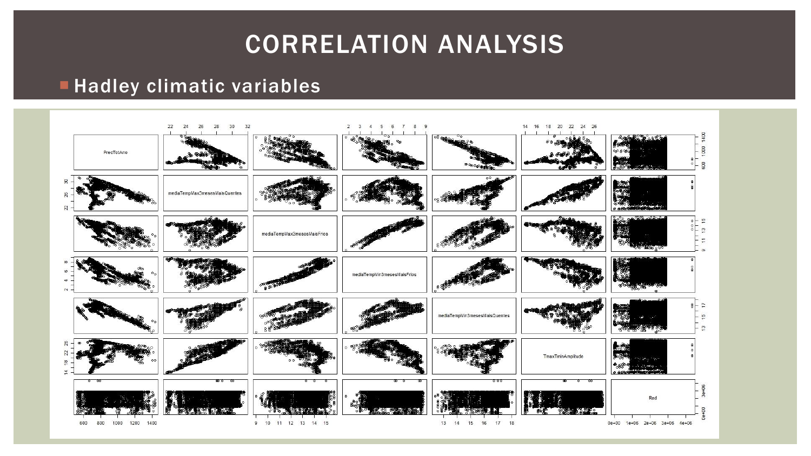## CORRELATION ANALYSIS

#### **Hadley climatic variables**

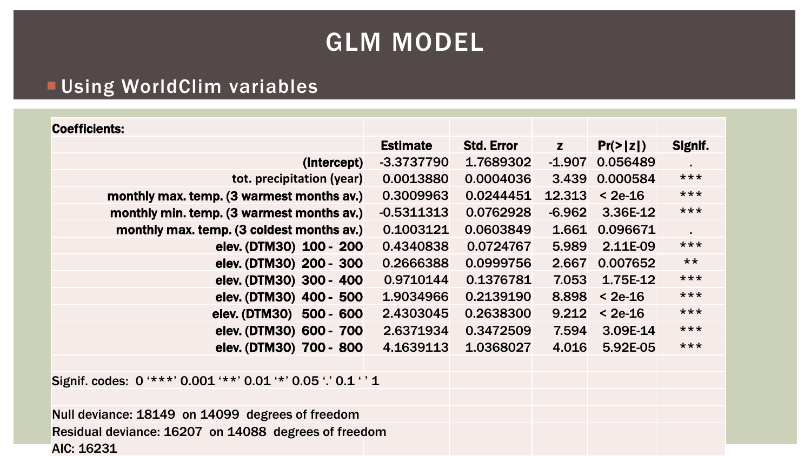## GLM MODEL

#### **EUsing WorldClim variables**

#### Coefficients:

| <b>Estimate</b> | <b>Std. Error</b> | Z        | $Pr(>\vert z \vert)$ | Signif.                          |
|-----------------|-------------------|----------|----------------------|----------------------------------|
| $-3.3737790$    | 1.7689302         | $-1.907$ | 0.056489             |                                  |
| 0.0013880       | 0.0004036         |          |                      | $***$                            |
| 0.3009963       | 0.0244451         | 12.313   | $< 2e-16$            | $***$                            |
| $-0.5311313$    | 0.0762928         | $-6.962$ | 3.36E-12             | $***$                            |
| 0.1003121       | 0.0603849         |          |                      |                                  |
| 0.4340838       | 0.0724767         | 5.989    | 2.11E-09             | $***$                            |
| 0.2666388       | 0.0999756         | 2.667    | 0.007652             | $***$                            |
| 0.9710144       | 0.1376781         | 7.053    | 1.75E-12             | $***$                            |
| 1.9034966       | 0.2139190         | 8.898    | $< 2e-16$            | $***$                            |
| 2.4303045       | 0.2638300         | 9.212    | $< 2e-16$            | $***$                            |
| 2.6371934       | 0.3472509         | 7.594    | 3.09E-14             | $***$                            |
| 4.1639113       | 1.0368027         | 4.016    | 5.92E-05             | $***$                            |
|                 |                   |          |                      | 3.439 0.000584<br>1.661 0.096671 |

Signif. codes: 0 '\*\*\*' 0.001 '\*\*' 0.01 '\*' 0.05 '.' 0.1 ' ' 1

Null deviance: 18149 on 14099 degrees of freedom Residual deviance: 16207 on 14088 degrees of freedom AIC: 16231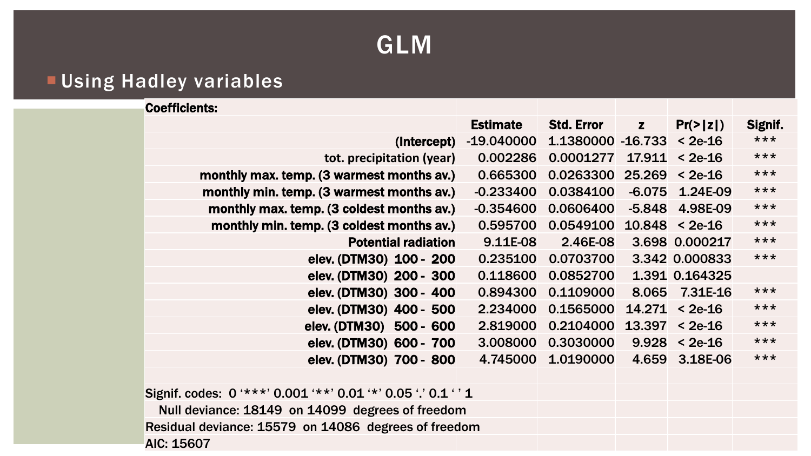## GLM

#### **Using Hadley variables**

| <b>Coefficients:</b>                      |                 |                    |              |                      |         |
|-------------------------------------------|-----------------|--------------------|--------------|----------------------|---------|
|                                           | <b>Estimate</b> | <b>Std. Error</b>  | $\mathbf{z}$ | $Pr(>\vert z \vert)$ | Signif. |
| (Intercept)                               | $-19.040000$    | 1.1380000 - 16.733 |              | $< 2e-16$            | ***     |
| tot. precipitation (year)                 | 0.002286        | 0.0001277          | 17.911       | $< 2e-16$            | $***$   |
| monthly max. temp. (3 warmest months av.) | 0.665300        | 0.0263300          | 25.269       | $<$ 2e-16            | $***$   |
| monthly min. temp. (3 warmest months av.) | $-0.233400$     | 0.0384100          | $-6.075$     | 1.24E-09             | $***$   |
| monthly max. temp. (3 coldest months av.) | $-0.354600$     | 0.0606400          | $-5.848$     | 4.98E-09             | $***$   |
| monthly min. temp. (3 coldest months av.) | 0.595700        | 0.0549100          |              | $10.848 < 2e-16$     | $***$   |
| <b>Potential radiation</b>                | 9.11E-08        | 2.46E-08           |              | 3.698 0.000217       | $***$   |
| elev. (DTM30) 100 - 200                   | 0.235100        | 0.0703700          |              | 3.342 0.000833       | $***$   |
| elev. (DTM30) 200 - 300                   | 0.118600        | 0.0852700          |              | 1.391 0.164325       |         |
| elev. (DTM30) 300 - 400                   | 0.894300        | 0.1109000          |              | 8.065 7.31E-16       | $***$   |
| elev. (DTM30) 400 - 500                   | 2.234000        | 0.1565000          | 14.271       | $< 2e-16$            | $***$   |
| elev. (DTM30) 500 - 600                   | 2.819000        | 0.2104000          | 13.397       | $< 2e-16$            | $***$   |
| elev. (DTM30) 600 - 700                   | 3.008000        | 0.3030000          | 9.928        | $< 2e-16$            | $***$   |
| elev. (DTM30) 700 - 800                   | 4.745000        | 1.0190000          |              | 4.659 3.18E-06       | $***$   |

Signif. codes: 0 '\*\*\*' 0.001 '\*\*' 0.01 '\*' 0.05 '.' 0.1 ' ' 1 Null deviance: 18149 on 14099 degrees of freedom Residual deviance: 15579 on 14086 degrees of freedom AIC: 15607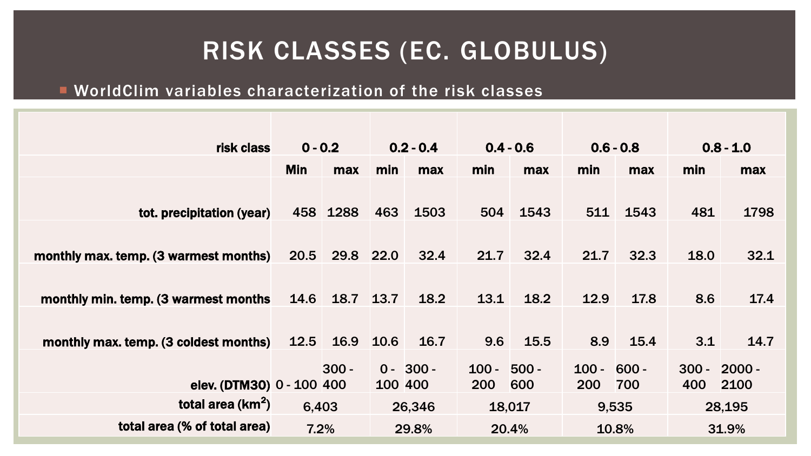## RISK CLASSES (EC. GLOBULUS)

#### WorldClim variables characterization of the risk classes

| risk class                            | $0 - 0.2$  |          | $0.2 - 0.4$ |             | $0.4 - 0.6$   |        | $0.6 - 0.8$   |       | $0.8 - 1.0$ |          |
|---------------------------------------|------------|----------|-------------|-------------|---------------|--------|---------------|-------|-------------|----------|
|                                       | <b>Min</b> | max      | min         | max         | min           | max    | min           | max   | min         | max      |
|                                       |            |          |             |             |               |        |               |       |             |          |
| tot. precipitation (year)             |            | 458 1288 | 463         | 1503        | 504           | 1543   | 511           | 1543  | 481         | 1798     |
|                                       |            |          |             |             |               |        |               |       |             |          |
| monthly max. temp. (3 warmest months) | 20.5       | 29.8     | <b>22.0</b> | 32.4        | 21.7          | 32.4   | 21.7          | 32.3  | 18.0        | 32.1     |
|                                       |            |          |             |             |               |        |               |       |             |          |
| monthly min. temp. (3 warmest months  | 14.6       | 18.7     | 13.7        | 18.2        | 13.1          | 18.2   | 12.9          | 17.8  | 8.6         | 17.4     |
|                                       |            |          |             |             |               |        |               |       |             |          |
| monthly max. temp. (3 coldest months) | 12.5       | 16.9     | 10.6        | 16.7        | 9.6           | 15.5   | 8.9           | 15.4  | 3.1         | 14.7     |
|                                       |            | $300 -$  |             | $0 - 300 -$ | $100 - 500 -$ |        | $100 - 600 -$ |       | $300 -$     | $2000 -$ |
| elev. (DTM30) 0 - 100 400             |            |          | 100 400     |             | <b>200</b>    | 600    | 200           | 700   | 400         | 2100     |
| total area $(km^2)$                   | 6,403      |          |             | 26,346      |               | 18,017 |               | 9,535 |             | 28,195   |
| total area (% of total area)          | 7.2%       |          |             | 29.8%       |               | 20.4%  |               | 10.8% |             | 31.9%    |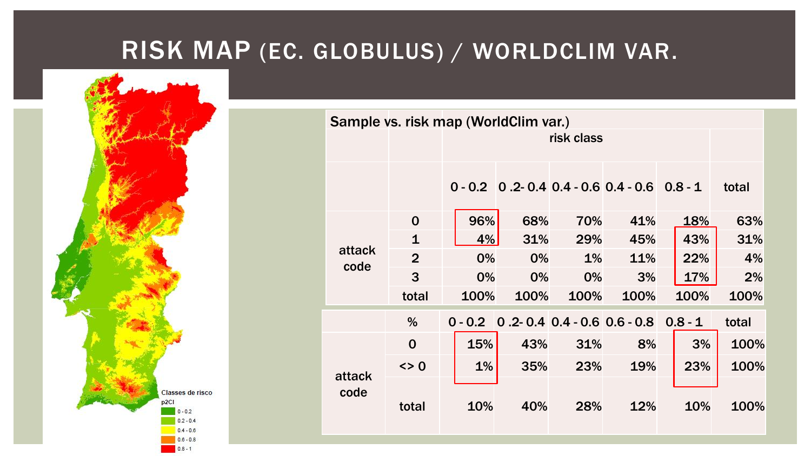## RISK MAP (EC. GLOBULUS) / WORLDCLIM VAR.



| Sample vs. risk map (WorldClim var.) |                |      |            |       |                                                         |      |       |  |  |  |  |  |
|--------------------------------------|----------------|------|------------|-------|---------------------------------------------------------|------|-------|--|--|--|--|--|
|                                      |                |      | risk class |       |                                                         |      |       |  |  |  |  |  |
|                                      |                |      |            |       |                                                         |      |       |  |  |  |  |  |
|                                      |                |      |            |       | $0 - 0.2$ $0.2 - 0.4$ $0.4 - 0.6$ $0.4 - 0.6$ $0.8 - 1$ |      | total |  |  |  |  |  |
|                                      | $\mathbf 0$    | 96%  | 68%        | 70%   | 41%                                                     | 18%  | 63%   |  |  |  |  |  |
|                                      | $\mathbf{1}$   | 4%   | 31%        | 29%   | 45%                                                     | 43%  | 31%   |  |  |  |  |  |
| attack<br>code                       | $\overline{2}$ | 0%   | 0%         | 1%    | 11%                                                     | 22%  | 4%    |  |  |  |  |  |
|                                      | 3              | 0%   | 0%         | $0\%$ | 3%                                                      | 17%  | 2%    |  |  |  |  |  |
|                                      | total          | 100% | 100%       | 100%  | 100%                                                    | 100% | 100%  |  |  |  |  |  |
|                                      | $\%$           |      |            |       | $0 - 0.2$ 0.2 0.4 0.4 - 0.6 0.6 - 0.8 0.8 - 1           |      | total |  |  |  |  |  |
|                                      | $\mathbf 0$    | 15%  | 43%        | 31%   | 8%                                                      | 3%   | 100%  |  |  |  |  |  |
|                                      | $\leq$ 0       | 1%   | 35%        | 23%   | 19%                                                     | 23%  | 100%  |  |  |  |  |  |
| attack<br>code                       | total          | 10%  | 40%        | 28%   | 12%                                                     | 10%  | 100%  |  |  |  |  |  |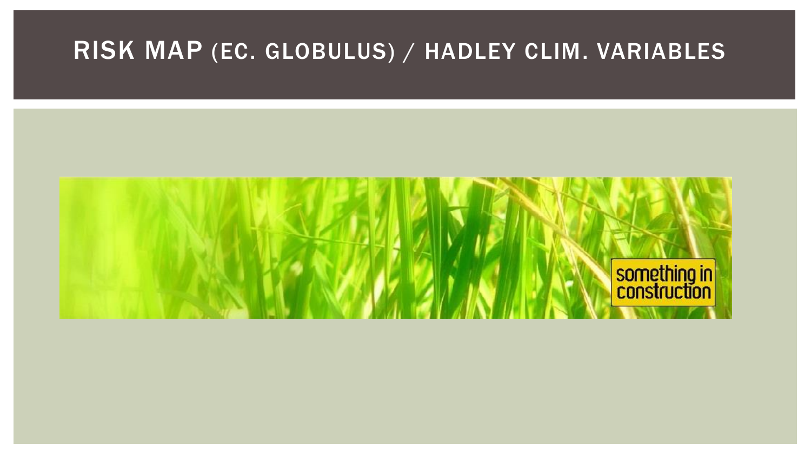## RISK MAP (EC. GLOBULUS) / HADLEY CLIM. VARIABLES